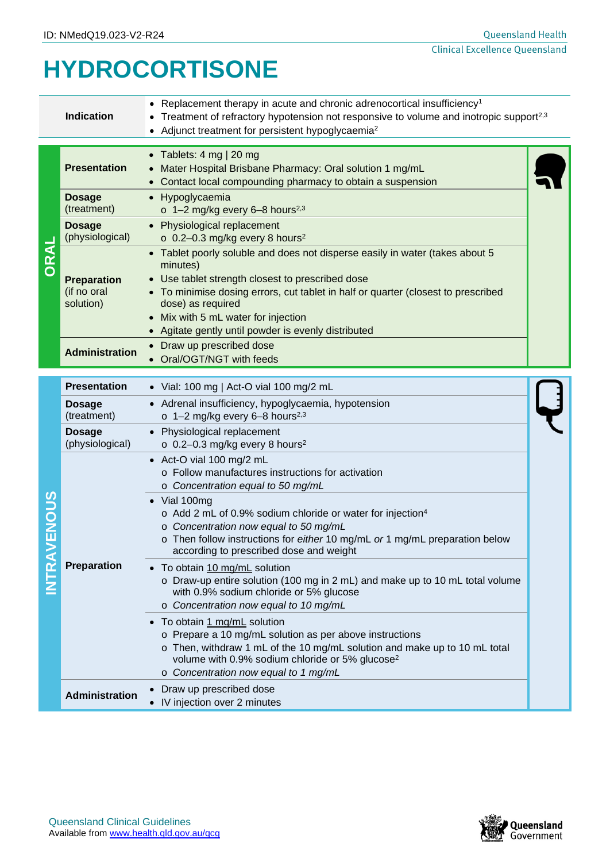# **HYDROCORTISONE**

|                | <b>Indication</b>                              | • Replacement therapy in acute and chronic adrenocortical insufficiency <sup>1</sup><br>• Treatment of refractory hypotension not responsive to volume and inotropic support <sup>2,3</sup><br>• Adjunct treatment for persistent hypoglycaemia <sup>2</sup>                                                                                                                            |  |
|----------------|------------------------------------------------|-----------------------------------------------------------------------------------------------------------------------------------------------------------------------------------------------------------------------------------------------------------------------------------------------------------------------------------------------------------------------------------------|--|
| ORAL           | <b>Presentation</b>                            | • Tablets: $4 \text{ mg}$   20 mg<br>Mater Hospital Brisbane Pharmacy: Oral solution 1 mg/mL<br>• Contact local compounding pharmacy to obtain a suspension                                                                                                                                                                                                                             |  |
|                | <b>Dosage</b><br>(treatment)                   | • Hypoglycaemia<br>$\circ$ 1-2 mg/kg every 6-8 hours <sup>2,3</sup>                                                                                                                                                                                                                                                                                                                     |  |
|                | <b>Dosage</b><br>(physiological)               | • Physiological replacement<br>$\circ$ 0.2-0.3 mg/kg every 8 hours <sup>2</sup>                                                                                                                                                                                                                                                                                                         |  |
|                | <b>Preparation</b><br>(if no oral<br>solution) | • Tablet poorly soluble and does not disperse easily in water (takes about 5<br>minutes)<br>• Use tablet strength closest to prescribed dose<br>• To minimise dosing errors, cut tablet in half or quarter (closest to prescribed<br>dose) as required<br>• Mix with 5 mL water for injection<br>• Agitate gently until powder is evenly distributed                                    |  |
|                | <b>Administration</b>                          | • Draw up prescribed dose<br>• Oral/OGT/NGT with feeds                                                                                                                                                                                                                                                                                                                                  |  |
| VENOUS<br>NTRA | <b>Presentation</b>                            | • Vial: 100 mg   Act-O vial 100 mg/2 mL                                                                                                                                                                                                                                                                                                                                                 |  |
|                | <b>Dosage</b><br>(treatment)                   | • Adrenal insufficiency, hypoglycaemia, hypotension<br>$\circ$ 1-2 mg/kg every 6-8 hours <sup>2,3</sup>                                                                                                                                                                                                                                                                                 |  |
|                | <b>Dosage</b><br>(physiological)               | • Physiological replacement<br>$\circ$ 0.2-0.3 mg/kg every 8 hours <sup>2</sup>                                                                                                                                                                                                                                                                                                         |  |
|                |                                                | • Act-O vial 100 mg/2 mL<br>o Follow manufactures instructions for activation<br>o Concentration equal to 50 mg/mL<br>$\bullet$ Vial 100mg<br>o Add 2 mL of 0.9% sodium chloride or water for injection <sup>4</sup><br>o Concentration now equal to 50 mg/mL<br>o Then follow instructions for either 10 mg/mL or 1 mg/mL preparation below<br>according to prescribed dose and weight |  |
|                | Preparation                                    | • To obtain 10 mg/mL solution<br>$\circ$ Draw-up entire solution (100 mg in 2 mL) and make up to 10 mL total volume<br>with 0.9% sodium chloride or 5% glucose<br>o Concentration now equal to 10 mg/mL                                                                                                                                                                                 |  |
|                |                                                | • To obtain 1 mg/mL solution<br>o Prepare a 10 mg/mL solution as per above instructions<br>o Then, withdraw 1 mL of the 10 mg/mL solution and make up to 10 mL total<br>volume with 0.9% sodium chloride or 5% glucose <sup>2</sup><br>o Concentration now equal to 1 mg/mL                                                                                                             |  |
|                | <b>Administration</b>                          | Draw up prescribed dose<br>• IV injection over 2 minutes                                                                                                                                                                                                                                                                                                                                |  |

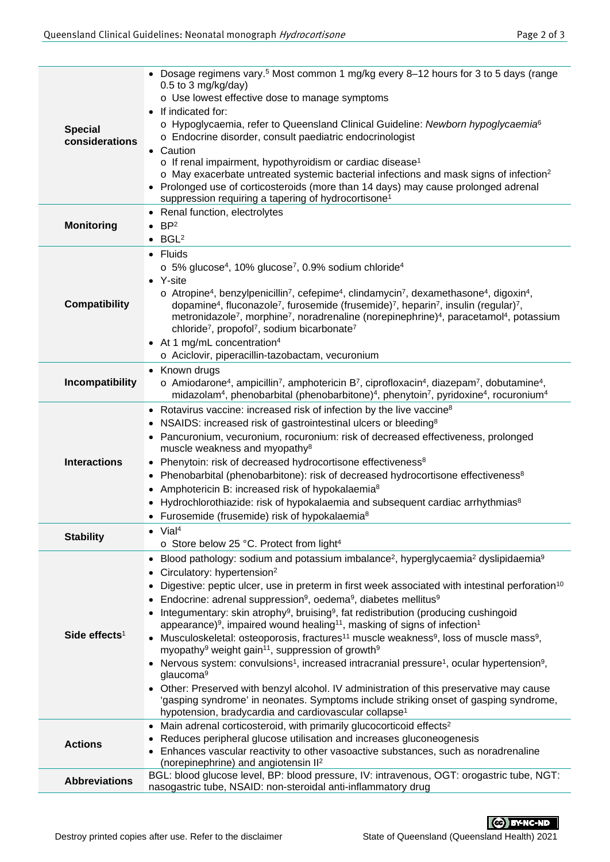| <b>Special</b><br>considerations | • Dosage regimens vary. <sup>5</sup> Most common 1 mg/kg every 8-12 hours for 3 to 5 days (range<br>$0.5$ to 3 mg/kg/day)<br>o Use lowest effective dose to manage symptoms<br>If indicated for:<br>○ Hypoglycaemia, refer to Queensland Clinical Guideline: Newborn hypoglycaemia <sup>6</sup><br>o Endocrine disorder, consult paediatric endocrinologist<br>• Caution<br>o If renal impairment, hypothyroidism or cardiac disease <sup>1</sup><br>$\circ$ May exacerbate untreated systemic bacterial infections and mask signs of infection <sup>2</sup><br>• Prolonged use of corticosteroids (more than 14 days) may cause prolonged adrenal<br>suppression requiring a tapering of hydrocortisone <sup>1</sup>                                                                                                                                                                                                                                                                                                                                                                                                                                                                                                                                                 |  |  |  |  |
|----------------------------------|-----------------------------------------------------------------------------------------------------------------------------------------------------------------------------------------------------------------------------------------------------------------------------------------------------------------------------------------------------------------------------------------------------------------------------------------------------------------------------------------------------------------------------------------------------------------------------------------------------------------------------------------------------------------------------------------------------------------------------------------------------------------------------------------------------------------------------------------------------------------------------------------------------------------------------------------------------------------------------------------------------------------------------------------------------------------------------------------------------------------------------------------------------------------------------------------------------------------------------------------------------------------------|--|--|--|--|
| <b>Monitoring</b>                | Renal function, electrolytes<br>$\bullet$<br>BP <sup>2</sup><br>$\bullet$ BGL <sup>2</sup>                                                                                                                                                                                                                                                                                                                                                                                                                                                                                                                                                                                                                                                                                                                                                                                                                                                                                                                                                                                                                                                                                                                                                                            |  |  |  |  |
| <b>Compatibility</b>             | • Fluids<br>$\circ$ 5% glucose <sup>4</sup> , 10% glucose <sup>7</sup> , 0.9% sodium chloride <sup>4</sup><br>• Y-site<br>o Atropine <sup>4</sup> , benzylpenicillin <sup>7</sup> , cefepime <sup>4</sup> , clindamycin <sup>7</sup> , dexamethasone <sup>4</sup> , digoxin <sup>4</sup> ,<br>dopamine <sup>4</sup> , fluconazole <sup>7</sup> , furosemide (frusemide) <sup>7</sup> , heparin <sup>7</sup> , insulin (regular) <sup>7</sup> ,<br>metronidazole <sup>7</sup> , morphine <sup>7</sup> , noradrenaline (norepinephrine) <sup>4</sup> , paracetamol <sup>4</sup> , potassium<br>chloride <sup>7</sup> , propofol <sup>7</sup> , sodium bicarbonate <sup>7</sup><br>• At 1 mg/mL concentration <sup>4</sup><br>o Aciclovir, piperacillin-tazobactam, vecuronium                                                                                                                                                                                                                                                                                                                                                                                                                                                                                           |  |  |  |  |
| Incompatibility                  | • Known drugs<br>$\circ$ Amiodarone <sup>4</sup> , ampicillin <sup>7</sup> , amphotericin B <sup>7</sup> , ciprofloxacin <sup>4</sup> , diazepam <sup>7</sup> , dobutamine <sup>4</sup> ,<br>midazolam <sup>4</sup> , phenobarbital (phenobarbitone) <sup>4</sup> , phenytoin <sup>7</sup> , pyridoxine <sup>4</sup> , rocuronium <sup>4</sup>                                                                                                                                                                                                                                                                                                                                                                                                                                                                                                                                                                                                                                                                                                                                                                                                                                                                                                                        |  |  |  |  |
| <b>Interactions</b>              | • Rotavirus vaccine: increased risk of infection by the live vaccine <sup>8</sup><br>NSAIDS: increased risk of gastrointestinal ulcers or bleeding <sup>8</sup><br>Pancuronium, vecuronium, rocuronium: risk of decreased effectiveness, prolonged<br>muscle weakness and myopathy <sup>8</sup><br>• Phenytoin: risk of decreased hydrocortisone effectiveness <sup>8</sup><br>Phenobarbital (phenobarbitone): risk of decreased hydrocortisone effectiveness <sup>8</sup><br>$\bullet$<br>Amphotericin B: increased risk of hypokalaemia <sup>8</sup><br>$\bullet$<br>Hydrochlorothiazide: risk of hypokalaemia and subsequent cardiac arrhythmias <sup>8</sup><br>• Furosemide (frusemide) risk of hypokalaemia <sup>8</sup>                                                                                                                                                                                                                                                                                                                                                                                                                                                                                                                                        |  |  |  |  |
| <b>Stability</b>                 | $\bullet$ Vial <sup>4</sup><br>o Store below 25 °C. Protect from light <sup>4</sup>                                                                                                                                                                                                                                                                                                                                                                                                                                                                                                                                                                                                                                                                                                                                                                                                                                                                                                                                                                                                                                                                                                                                                                                   |  |  |  |  |
| Side effects <sup>1</sup>        | Blood pathology: sodium and potassium imbalance <sup>2</sup> , hyperglycaemia <sup>2</sup> dyslipidaemia <sup>9</sup><br>$\bullet$<br>Circulatory: hypertension <sup>2</sup><br>Digestive: peptic ulcer, use in preterm in first week associated with intestinal perforation <sup>10</sup><br>Endocrine: adrenal suppression <sup>9</sup> , oedema <sup>9</sup> , diabetes mellitus <sup>9</sup><br>Integumentary: skin atrophy <sup>9</sup> , bruising <sup>9</sup> , fat redistribution (producing cushingoid<br>appearance) <sup>9</sup> , impaired wound healing <sup>11</sup> , masking of signs of infection <sup>1</sup><br>• Musculoskeletal: osteoporosis, fractures <sup>11</sup> muscle weakness <sup>9</sup> , loss of muscle mass <sup>9</sup> ,<br>myopathy <sup>9</sup> weight gain <sup>11</sup> , suppression of growth <sup>9</sup><br>Nervous system: convulsions <sup>1</sup> , increased intracranial pressure <sup>1</sup> , ocular hypertension <sup>9</sup> ,<br>glaucoma <sup>9</sup><br>Other: Preserved with benzyl alcohol. IV administration of this preservative may cause<br>'gasping syndrome' in neonates. Symptoms include striking onset of gasping syndrome,<br>hypotension, bradycardia and cardiovascular collapse <sup>1</sup> |  |  |  |  |
| <b>Actions</b>                   | Main adrenal corticosteroid, with primarily glucocorticoid effects <sup>2</sup><br>Reduces peripheral glucose utilisation and increases gluconeogenesis<br>Enhances vascular reactivity to other vasoactive substances, such as noradrenaline<br>(norepinephrine) and angiotensin II <sup>2</sup>                                                                                                                                                                                                                                                                                                                                                                                                                                                                                                                                                                                                                                                                                                                                                                                                                                                                                                                                                                     |  |  |  |  |
| <b>Abbreviations</b>             | BGL: blood glucose level, BP: blood pressure, IV: intravenous, OGT: orogastric tube, NGT:<br>nasogastric tube, NSAID: non-steroidal anti-inflammatory drug                                                                                                                                                                                                                                                                                                                                                                                                                                                                                                                                                                                                                                                                                                                                                                                                                                                                                                                                                                                                                                                                                                            |  |  |  |  |